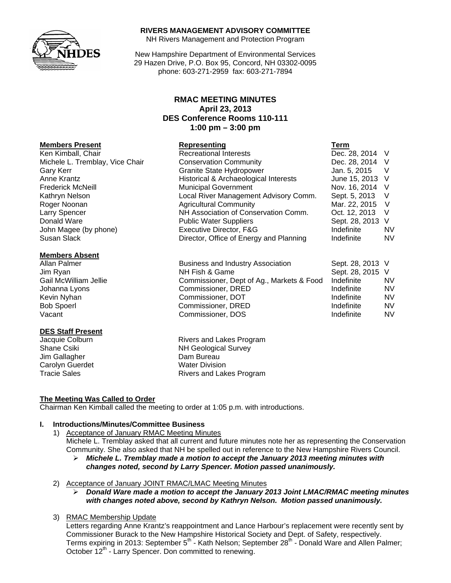

## **RIVERS MANAGEMENT ADVISORY COMMITTEE**

NH Rivers Management and Protection Program

New Hampshire Department of Environmental Services 29 Hazen Drive, P.O. Box 95, Concord, NH 03302-0095 phone: 603-271-2959 fax: 603-271-7894

# **RMAC MEETING MINUTES April 23, 2013 DES Conference Rooms 110-111 1:00 pm – 3:00 pm**

| <b>Members Present</b>          | Representing                            | Term             |           |
|---------------------------------|-----------------------------------------|------------------|-----------|
| Ken Kimball, Chair              | <b>Recreational Interests</b>           | Dec. 28, 2014 V  |           |
| Michele L. Tremblay, Vice Chair | <b>Conservation Community</b>           | Dec. 28, 2014 V  |           |
| Gary Kerr                       | <b>Granite State Hydropower</b>         | Jan. 5, 2015     | $\vee$    |
| Anne Krantz                     | Historical & Archaeological Interests   | June 15, 2013 V  |           |
| <b>Frederick McNeill</b>        | <b>Municipal Government</b>             | Nov. 16, 2014 V  |           |
| Kathryn Nelson                  | Local River Management Advisory Comm.   | Sept. 5, 2013 V  |           |
| Roger Noonan                    | <b>Agricultural Community</b>           | Mar. 22, 2015 V  |           |
| Larry Spencer                   | NH Association of Conservation Comm.    | Oct. 12, 2013    | V         |
| Donald Ware                     | <b>Public Water Suppliers</b>           | Sept. 28, 2013 V |           |
| John Magee (by phone)           | Executive Director, F&G                 | Indefinite       | <b>NV</b> |
| Susan Slack                     | Director, Office of Energy and Planning | Indefinite       | <b>NV</b> |

| Allan Palmer          | <b>Business and Industry Association</b>  | Sept. 28, 2013 V |     |
|-----------------------|-------------------------------------------|------------------|-----|
| Jim Ryan              | NH Fish & Game                            | Sept. 28, 2015 V |     |
| Gail McWilliam Jellie | Commissioner, Dept of Ag., Markets & Food | Indefinite       | NV. |
| Johanna Lyons         | Commissioner, DRED                        | Indefinite       | NV. |
| Kevin Nyhan           | Commissioner, DOT                         | Indefinite       | NV. |
| <b>Bob Spoerl</b>     | Commissioner, DRED                        | Indefinite       | NV. |
| Vacant                | Commissioner, DOS                         | Indefinite       | NV. |

Jacquie Colburn **Rivers** and Lakes Program Shane Csiki NH Geological Survey Tracie Sales **Rivers** and Lakes Program

# **The Meeting Was Called to Order**

Chairman Ken Kimball called the meeting to order at 1:05 p.m. with introductions.

### **I. Introductions/Minutes/Committee Business**

- 1) Acceptance of January RMAC Meeting Minutes Michele L. Tremblay asked that all current and future minutes note her as representing the Conservation Community. She also asked that NH be spelled out in reference to the New Hampshire Rivers Council.
	- ¾ *Michele L. Tremblay made a motion to accept the January 2013 meeting minutes with changes noted, second by Larry Spencer. Motion passed unanimously.*

2) Acceptance of January JOINT RMAC/LMAC Meeting Minutes

¾ *Donald Ware made a motion to accept the January 2013 Joint LMAC/RMAC meeting minutes with changes noted above, second by Kathryn Nelson. Motion passed unanimously.* 

### 3) RMAC Membership Update

Letters regarding Anne Krantz's reappointment and Lance Harbour's replacement were recently sent by Commissioner Burack to the New Hampshire Historical Society and Dept. of Safety, respectively. Terms expiring in 2013: September 5<sup>th</sup> - Kath Nelson; September 28<sup>th</sup> - Donald Ware and Allen Palmer; October 12<sup>th</sup> - Larry Spencer. Don committed to renewing.

## **Members Absent**

### **DES Staff Present**

Jim Gallagher **Dam Bureau** Carolyn Guerdet Water Division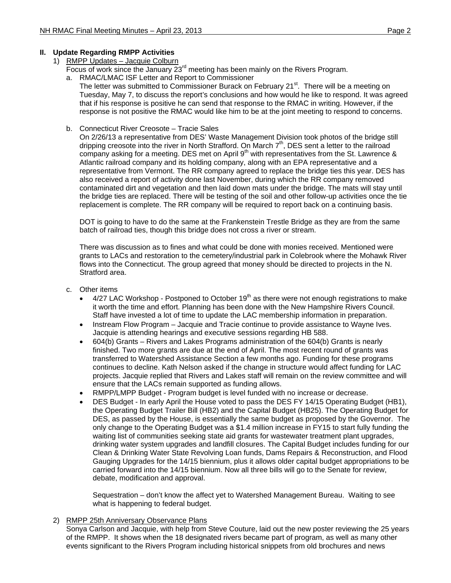# **II. Update Regarding RMPP Activities**

- 1) RMPP Updates Jacquie Colburn
	- Focus of work since the January  $23<sup>rd</sup>$  meeting has been mainly on the Rivers Program.
	- a. RMAC/LMAC ISF Letter and Report to Commissioner
		- The letter was submitted to Commissioner Burack on February 21<sup>st</sup>. There will be a meeting on Tuesday, May 7, to discuss the report's conclusions and how would he like to respond. It was agreed that if his response is positive he can send that response to the RMAC in writing. However, if the response is not positive the RMAC would like him to be at the joint meeting to respond to concerns.
	- b. Connecticut River Creosote Tracie Sales

On 2/26/13 a representative from DES' Waste Management Division took photos of the bridge still dripping creosote into the river in North Strafford. On March 7<sup>th</sup>, DES sent a letter to the railroad company asking for a meeting. DES met on April  $9<sup>th</sup>$  with representatives from the St. Lawrence & Atlantic railroad company and its holding company, along with an EPA representative and a representative from Vermont. The RR company agreed to replace the bridge ties this year. DES has also received a report of activity done last November, during which the RR company removed contaminated dirt and vegetation and then laid down mats under the bridge. The mats will stay until the bridge ties are replaced. There will be testing of the soil and other follow-up activities once the tie replacement is complete. The RR company will be required to report back on a continuing basis.

DOT is going to have to do the same at the Frankenstein Trestle Bridge as they are from the same batch of railroad ties, though this bridge does not cross a river or stream.

There was discussion as to fines and what could be done with monies received. Mentioned were grants to LACs and restoration to the cemetery/industrial park in Colebrook where the Mohawk River flows into the Connecticut. The group agreed that money should be directed to projects in the N. Stratford area.

- c. Other items
	- $4/27$  LAC Workshop Postponed to October 19<sup>th</sup> as there were not enough registrations to make it worth the time and effort. Planning has been done with the New Hampshire Rivers Council. Staff have invested a lot of time to update the LAC membership information in preparation.
	- Instream Flow Program Jacquie and Tracie continue to provide assistance to Wayne Ives. Jacquie is attending hearings and executive sessions regarding HB 588.
	- 604(b) Grants Rivers and Lakes Programs administration of the 604(b) Grants is nearly finished. Two more grants are due at the end of April. The most recent round of grants was transferred to Watershed Assistance Section a few months ago. Funding for these programs continues to decline. Kath Nelson asked if the change in structure would affect funding for LAC projects. Jacquie replied that Rivers and Lakes staff will remain on the review committee and will ensure that the LACs remain supported as funding allows.
	- RMPP/LMPP Budget Program budget is level funded with no increase or decrease.
	- DES Budget In early April the House voted to pass the DES FY 14/15 Operating Budget (HB1), the Operating Budget Trailer Bill (HB2) and the Capital Budget (HB25). The Operating Budget for DES, as passed by the House, is essentially the same budget as proposed by the Governor. The only change to the Operating Budget was a \$1.4 million increase in FY15 to start fully funding the waiting list of communities seeking state aid grants for wastewater treatment plant upgrades, drinking water system upgrades and landfill closures. The Capital Budget includes funding for our Clean & Drinking Water State Revolving Loan funds, Dams Repairs & Reconstruction, and Flood Gauging Upgrades for the 14/15 biennium, plus it allows older capital budget appropriations to be carried forward into the 14/15 biennium. Now all three bills will go to the Senate for review, debate, modification and approval.

Sequestration – don't know the affect yet to Watershed Management Bureau. Waiting to see what is happening to federal budget.

2) RMPP 25th Anniversary Observance Plans

Sonya Carlson and Jacquie, with help from Steve Couture, laid out the new poster reviewing the 25 years of the RMPP. It shows when the 18 designated rivers became part of program, as well as many other events significant to the Rivers Program including historical snippets from old brochures and news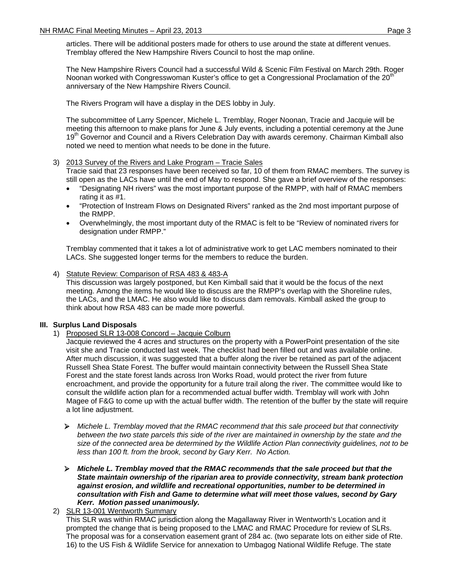articles. There will be additional posters made for others to use around the state at different venues. Tremblay offered the New Hampshire Rivers Council to host the map online.

The New Hampshire Rivers Council had a successful Wild & Scenic Film Festival on March 29th. Roger Noonan worked with Congresswoman Kuster's office to get a Congressional Proclamation of the 20<sup>th</sup> anniversary of the New Hampshire Rivers Council.

The Rivers Program will have a display in the DES lobby in July.

The subcommittee of Larry Spencer, Michele L. Tremblay, Roger Noonan, Tracie and Jacquie will be meeting this afternoon to make plans for June & July events, including a potential ceremony at the June 19<sup>th</sup> Governor and Council and a Rivers Celebration Day with awards ceremony. Chairman Kimball also noted we need to mention what needs to be done in the future.

## 3) 2013 Survey of the Rivers and Lake Program – Tracie Sales

Tracie said that 23 responses have been received so far, 10 of them from RMAC members. The survey is still open as the LACs have until the end of May to respond. She gave a brief overview of the responses:

- "Designating NH rivers" was the most important purpose of the RMPP, with half of RMAC members rating it as #1.
- "Protection of Instream Flows on Designated Rivers" ranked as the 2nd most important purpose of the RMPP.
- Overwhelmingly, the most important duty of the RMAC is felt to be "Review of nominated rivers for designation under RMPP."

Tremblay commented that it takes a lot of administrative work to get LAC members nominated to their LACs. She suggested longer terms for the members to reduce the burden.

4) Statute Review: Comparison of RSA 483 & 483-A

This discussion was largely postponed, but Ken Kimball said that it would be the focus of the next meeting. Among the items he would like to discuss are the RMPP's overlap with the Shoreline rules, the LACs, and the LMAC. He also would like to discuss dam removals. Kimball asked the group to think about how RSA 483 can be made more powerful.

# **III. Surplus Land Disposals**

1) Proposed SLR 13-008 Concord – Jacquie Colburn

Jacquie reviewed the 4 acres and structures on the property with a PowerPoint presentation of the site visit she and Tracie conducted last week. The checklist had been filled out and was available online. After much discussion, it was suggested that a buffer along the river be retained as part of the adjacent Russell Shea State Forest. The buffer would maintain connectivity between the Russell Shea State Forest and the state forest lands across Iron Works Road, would protect the river from future encroachment, and provide the opportunity for a future trail along the river. The committee would like to consult the wildlife action plan for a recommended actual buffer width. Tremblay will work with John Magee of F&G to come up with the actual buffer width. The retention of the buffer by the state will require a lot line adjustment.

- ¾ *Michele L. Tremblay moved that the RMAC recommend that this sale proceed but that connectivity*  between the two state parcels this side of the river are maintained in ownership by the state and the *size of the connected area be determined by the Wildlife Action Plan connectivity guidelines, not to be less than 100 ft. from the brook, second by Gary Kerr. No Action.*
- ¾ *Michele L. Tremblay moved that the RMAC recommends that the sale proceed but that the State maintain ownership of the riparian area to provide connectivity, stream bank protection against erosion, and wildlife and recreational opportunities, number to be determined in consultation with Fish and Game to determine what will meet those values, second by Gary Kerr. Motion passed unanimously.*

2) SLR 13-001 Wentworth Summary This SLR was within RMAC jurisdiction along the Magallaway River in Wentworth's Location and it prompted the change that is being proposed to the LMAC and RMAC Procedure for review of SLRs. The proposal was for a conservation easement grant of 284 ac. (two separate lots on either side of Rte. 16) to the US Fish & Wildlife Service for annexation to Umbagog National Wildlife Refuge. The state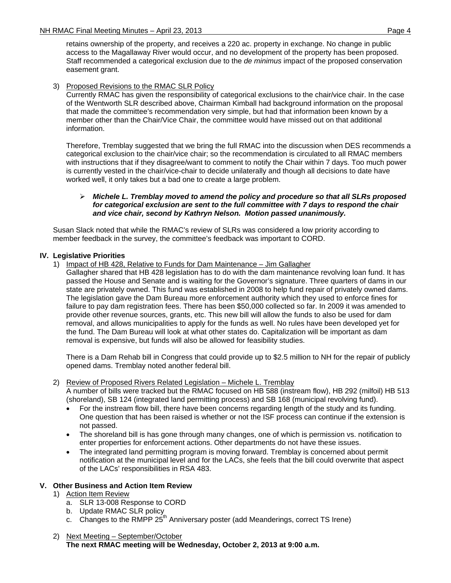retains ownership of the property, and receives a 220 ac. property in exchange. No change in public access to the Magallaway River would occur, and no development of the property has been proposed. Staff recommended a categorical exclusion due to the *de minimus* impact of the proposed conservation easement grant.

## 3) Proposed Revisions to the RMAC SLR Policy

Currently RMAC has given the responsibility of categorical exclusions to the chair/vice chair. In the case of the Wentworth SLR described above, Chairman Kimball had background information on the proposal that made the committee's recommendation very simple, but had that information been known by a member other than the Chair/Vice Chair, the committee would have missed out on that additional information.

Therefore, Tremblay suggested that we bring the full RMAC into the discussion when DES recommends a categorical exclusion to the chair/vice chair; so the recommendation is circulated to all RMAC members with instructions that if they disagree/want to comment to notify the Chair within 7 days. Too much power is currently vested in the chair/vice-chair to decide unilaterally and though all decisions to date have worked well, it only takes but a bad one to create a large problem.

### ¾ *Michele L. Tremblay moved to amend the policy and procedure so that all SLRs proposed for categorical exclusion are sent to the full committee with 7 days to respond the chair and vice chair, second by Kathryn Nelson. Motion passed unanimously.*

Susan Slack noted that while the RMAC's review of SLRs was considered a low priority according to member feedback in the survey, the committee's feedback was important to CORD.

## **IV. Legislative Priorities**

1) Impact of HB 428, Relative to Funds for Dam Maintenance – Jim Gallagher

Gallagher shared that HB 428 legislation has to do with the dam maintenance revolving loan fund. It has passed the House and Senate and is waiting for the Governor's signature. Three quarters of dams in our state are privately owned. This fund was established in 2008 to help fund repair of privately owned dams. The legislation gave the Dam Bureau more enforcement authority which they used to enforce fines for failure to pay dam registration fees. There has been \$50,000 collected so far. In 2009 it was amended to provide other revenue sources, grants, etc. This new bill will allow the funds to also be used for dam removal, and allows municipalities to apply for the funds as well. No rules have been developed yet for the fund. The Dam Bureau will look at what other states do. Capitalization will be important as dam removal is expensive, but funds will also be allowed for feasibility studies.

There is a Dam Rehab bill in Congress that could provide up to \$2.5 million to NH for the repair of publicly opened dams. Tremblay noted another federal bill.

## 2) Review of Proposed Rivers Related Legislation – Michele L. Tremblay A number of bills were tracked but the RMAC focused on HB 588 (instream flow), HB 292 (milfoil) HB 513 (shoreland), SB 124 (integrated land permitting process) and SB 168 (municipal revolving fund).

- For the instream flow bill, there have been concerns regarding length of the study and its funding. One question that has been raised is whether or not the ISF process can continue if the extension is not passed.
- The shoreland bill is has gone through many changes, one of which is permission vs. notification to enter properties for enforcement actions. Other departments do not have these issues.
- The integrated land permitting program is moving forward. Tremblay is concerned about permit notification at the municipal level and for the LACs, she feels that the bill could overwrite that aspect of the LACs' responsibilities in RSA 483.

# **V. Other Business and Action Item Review**

- 1) Action Item Review
	- a. SLR 13-008 Response to CORD
	- b. Update RMAC SLR policy
	- c. Changes to the RMPP  $25<sup>th</sup>$  Anniversary poster (add Meanderings, correct TS Irene)
- 2) Next Meeting September/October **The next RMAC meeting will be Wednesday, October 2, 2013 at 9:00 a.m.**